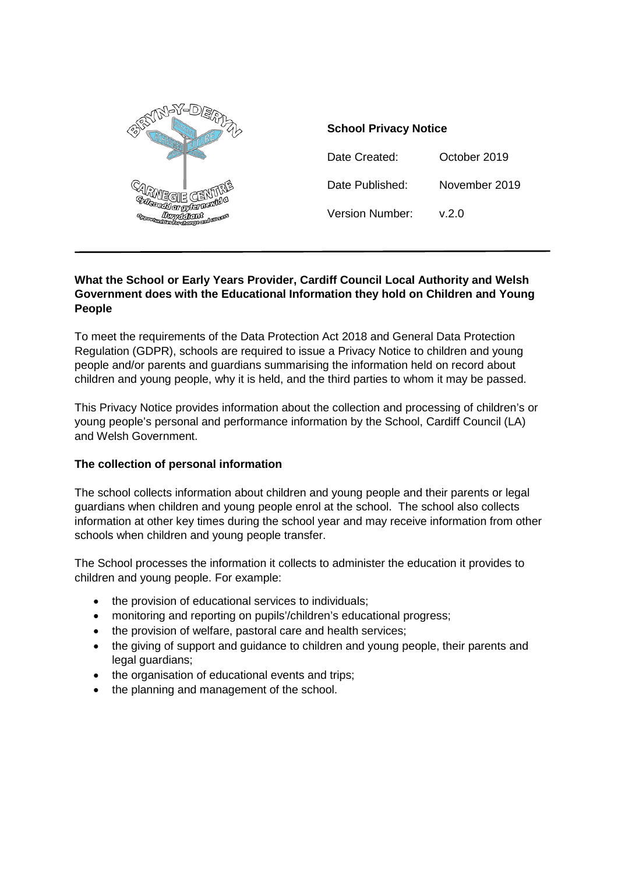

### **School Privacy Notice**

Date Created: October 2019 Date Published: November 2019 Version Number: v.2.0

### **What the School or Early Years Provider, Cardiff Council Local Authority and Welsh Government does with the Educational Information they hold on Children and Young People**

To meet the requirements of the Data Protection Act 2018 and General Data Protection Regulation (GDPR), schools are required to issue a Privacy Notice to children and young people and/or parents and guardians summarising the information held on record about children and young people, why it is held, and the third parties to whom it may be passed.

This Privacy Notice provides information about the collection and processing of children's or young people's personal and performance information by the School, Cardiff Council (LA) and Welsh Government.

## **The collection of personal information**

The school collects information about children and young people and their parents or legal guardians when children and young people enrol at the school. The school also collects information at other key times during the school year and may receive information from other schools when children and young people transfer.

The School processes the information it collects to administer the education it provides to children and young people. For example:

- the provision of educational services to individuals;
- monitoring and reporting on pupils'/children's educational progress;
- the provision of welfare, pastoral care and health services;
- the giving of support and guidance to children and young people, their parents and legal guardians;
- the organisation of educational events and trips;
- the planning and management of the school.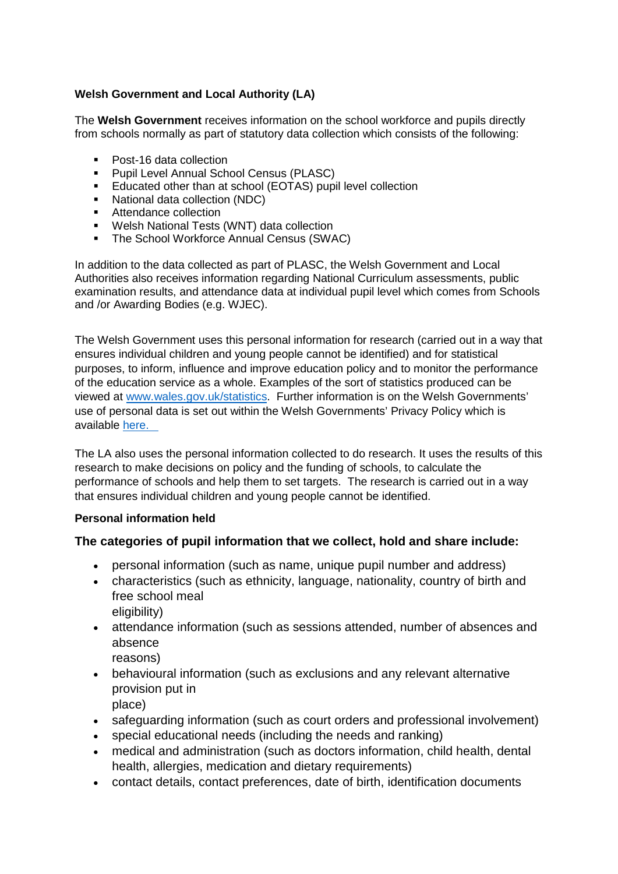# **Welsh Government and Local Authority (LA)**

The **Welsh Government** receives information on the school workforce and pupils directly from schools normally as part of statutory data collection which consists of the following:

- Post-16 data collection
- **Pupil Level Annual School Census (PLASC)**
- **Educated other than at school (EOTAS) pupil level collection**
- National data collection (NDC)
- **Attendance collection**
- **Welsh National Tests (WNT) data collection**
- The School Workforce Annual Census (SWAC)

In addition to the data collected as part of PLASC, the Welsh Government and Local Authorities also receives information regarding National Curriculum assessments, public examination results, and attendance data at individual pupil level which comes from Schools and /or Awarding Bodies (e.g. WJEC).

The Welsh Government uses this personal information for research (carried out in a way that ensures individual children and young people cannot be identified) and for statistical purposes, to inform, influence and improve education policy and to monitor the performance of the education service as a whole. Examples of the sort of statistics produced can be viewed at [www.wales.gov.uk/statistics.](http://www.wales.gov.uk/statistics) Further information is on the Welsh Governments' use of personal data is set out within the Welsh Governments' Privacy Policy which is available [here.](https://gov.wales/topics/educationandskills/schoolshome/schooldata/ims/datamanagementims/?lang=en) 

The LA also uses the personal information collected to do research. It uses the results of this research to make decisions on policy and the funding of schools, to calculate the performance of schools and help them to set targets. The research is carried out in a way that ensures individual children and young people cannot be identified.

## **Personal information held**

## **The categories of pupil information that we collect, hold and share include:**

- personal information (such as name, unique pupil number and address)
- characteristics (such as ethnicity, language, nationality, country of birth and free school meal eligibility)
- attendance information (such as sessions attended, number of absences and absence reasons)
- behavioural information (such as exclusions and any relevant alternative provision put in place)
- safeguarding information (such as court orders and professional involvement)
- special educational needs (including the needs and ranking)
- medical and administration (such as doctors information, child health, dental health, allergies, medication and dietary requirements)
- contact details, contact preferences, date of birth, identification documents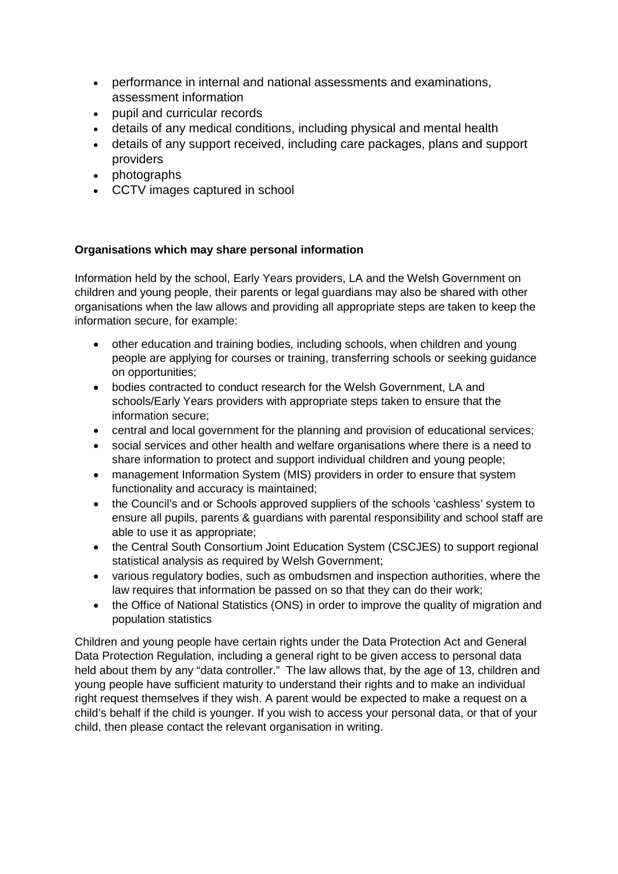- performance in internal and national assessments and examinations, assessment information
- pupil and curricular records
- details of any medical conditions, including physical and mental health
- details of any support received, including care packages, plans and support providers
- photographs
- CCTV images captured in school

# **Organisations which may share personal information**

Information held by the school, Early Years providers, LA and the Welsh Government on children and young people, their parents or legal guardians may also be shared with other organisations when the law allows and providing all appropriate steps are taken to keep the information secure, for example:

- other education and training bodies, including schools, when children and young people are applying for courses or training, transferring schools or seeking guidance on opportunities;
- bodies contracted to conduct research for the Welsh Government, LA and schools/Early Years providers with appropriate steps taken to ensure that the information secure;
- central and local government for the planning and provision of educational services;
- social services and other health and welfare organisations where there is a need to share information to protect and support individual children and young people;
- management Information System (MIS) providers in order to ensure that system functionality and accuracy is maintained;
- the Council's and or Schools approved suppliers of the schools 'cashless' system to ensure all pupils, parents & guardians with parental responsibility and school staff are able to use it as appropriate;
- the Central South Consortium Joint Education System (CSCJES) to support regional statistical analysis as required by Welsh Government;
- various regulatory bodies, such as ombudsmen and inspection authorities, where the law requires that information be passed on so that they can do their work;
- the Office of National Statistics (ONS) in order to improve the quality of migration and population statistics

Children and young people have certain rights under the Data Protection Act and General Data Protection Regulation, including a general right to be given access to personal data held about them by any "data controller." The law allows that, by the age of 13, children and young people have sufficient maturity to understand their rights and to make an individual right request themselves if they wish. A parent would be expected to make a request on a child's behalf if the child is younger. If you wish to access your personal data, or that of your child, then please contact the relevant organisation in writing.